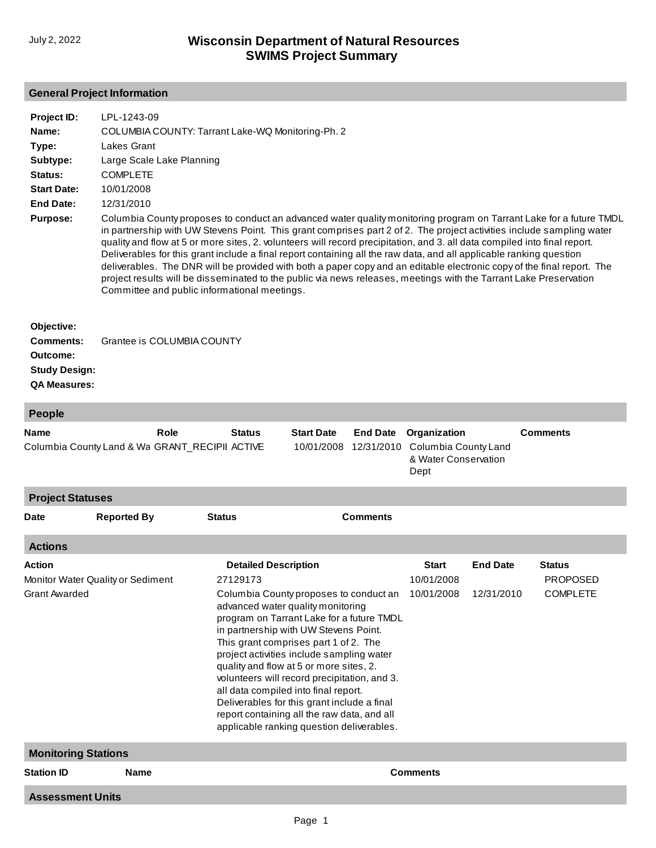## **General Project Information**

| Project ID:<br>Name:<br>Type:<br>Subtype:  | LPL-1243-09<br>COLUMBIA COUNTY: Tarrant Lake-WQ Monitoring-Ph. 2<br>Lakes Grant<br>Large Scale Lake Planning                                                                                                                                                                                                                                                                                                                                                                                                                                                                                                                                                                                                                                                                                   |
|--------------------------------------------|------------------------------------------------------------------------------------------------------------------------------------------------------------------------------------------------------------------------------------------------------------------------------------------------------------------------------------------------------------------------------------------------------------------------------------------------------------------------------------------------------------------------------------------------------------------------------------------------------------------------------------------------------------------------------------------------------------------------------------------------------------------------------------------------|
| <b>Status:</b>                             | <b>COMPLETE</b>                                                                                                                                                                                                                                                                                                                                                                                                                                                                                                                                                                                                                                                                                                                                                                                |
| <b>Start Date:</b><br>End Date:            | 10/01/2008<br>12/31/2010                                                                                                                                                                                                                                                                                                                                                                                                                                                                                                                                                                                                                                                                                                                                                                       |
| <b>Purpose:</b>                            | Columbia County proposes to conduct an advanced water quality monitoring program on Tarrant Lake for a future TMDL<br>in partnership with UW Stevens Point. This grant comprises part 2 of 2. The project activities include sampling water<br>quality and flow at 5 or more sites, 2. volunteers will record precipitation, and 3. all data compiled into final report.<br>Deliverables for this grant include a final report containing all the raw data, and all applicable ranking question<br>deliverables. The DNR will be provided with both a paper copy and an editable electronic copy of the final report. The<br>project results will be disseminated to the public via news releases, meetings with the Tarrant Lake Preservation<br>Committee and public informational meetings. |
| Objective:<br><b>Comments:</b><br>Outcome: | Grantee is COLUMBIA COUNTY                                                                                                                                                                                                                                                                                                                                                                                                                                                                                                                                                                                                                                                                                                                                                                     |

**Study Design:**

**QA Measures:**

| <b>People</b>                                                              |                                                        |  |                                                                                                                                                                                                                                                                                                                                                                                                                                                                                                                                                                                  |  |                 |                                                                      |                               |                                                     |  |
|----------------------------------------------------------------------------|--------------------------------------------------------|--|----------------------------------------------------------------------------------------------------------------------------------------------------------------------------------------------------------------------------------------------------------------------------------------------------------------------------------------------------------------------------------------------------------------------------------------------------------------------------------------------------------------------------------------------------------------------------------|--|-----------------|----------------------------------------------------------------------|-------------------------------|-----------------------------------------------------|--|
| Role<br><b>Name</b><br>Columbia County Land & Wa GRANT_RECIPII ACTIVE      |                                                        |  | <b>Status</b><br><b>Start Date</b><br>10/01/2008 12/31/2010                                                                                                                                                                                                                                                                                                                                                                                                                                                                                                                      |  | <b>End Date</b> | Organization<br>Columbia County Land<br>& Water Conservation<br>Dept |                               | <b>Comments</b>                                     |  |
| <b>Project Statuses</b>                                                    |                                                        |  |                                                                                                                                                                                                                                                                                                                                                                                                                                                                                                                                                                                  |  |                 |                                                                      |                               |                                                     |  |
| <b>Date</b>                                                                | <b>Comments</b><br><b>Reported By</b><br><b>Status</b> |  |                                                                                                                                                                                                                                                                                                                                                                                                                                                                                                                                                                                  |  |                 |                                                                      |                               |                                                     |  |
| <b>Actions</b>                                                             |                                                        |  |                                                                                                                                                                                                                                                                                                                                                                                                                                                                                                                                                                                  |  |                 |                                                                      |                               |                                                     |  |
| <b>Action</b><br>Monitor Water Quality or Sediment<br><b>Grant Awarded</b> |                                                        |  | <b>Detailed Description</b><br>27129173<br>Columbia County proposes to conduct an<br>advanced water quality monitoring<br>program on Tarrant Lake for a future TMDL<br>in partnership with UW Stevens Point.<br>This grant comprises part 1 of 2. The<br>project activities include sampling water<br>quality and flow at 5 or more sites, 2.<br>volunteers will record precipitation, and 3.<br>all data compiled into final report.<br>Deliverables for this grant include a final<br>report containing all the raw data, and all<br>applicable ranking question deliverables. |  |                 |                                                                      | <b>End Date</b><br>12/31/2010 | <b>Status</b><br><b>PROPOSED</b><br><b>COMPLETE</b> |  |
| <b>Monitoring Stations</b>                                                 |                                                        |  |                                                                                                                                                                                                                                                                                                                                                                                                                                                                                                                                                                                  |  |                 |                                                                      |                               |                                                     |  |
| <b>Station ID</b>                                                          | <b>Name</b>                                            |  | <b>Comments</b>                                                                                                                                                                                                                                                                                                                                                                                                                                                                                                                                                                  |  |                 |                                                                      |                               |                                                     |  |
| <b>Assessment Units</b>                                                    |                                                        |  |                                                                                                                                                                                                                                                                                                                                                                                                                                                                                                                                                                                  |  |                 |                                                                      |                               |                                                     |  |